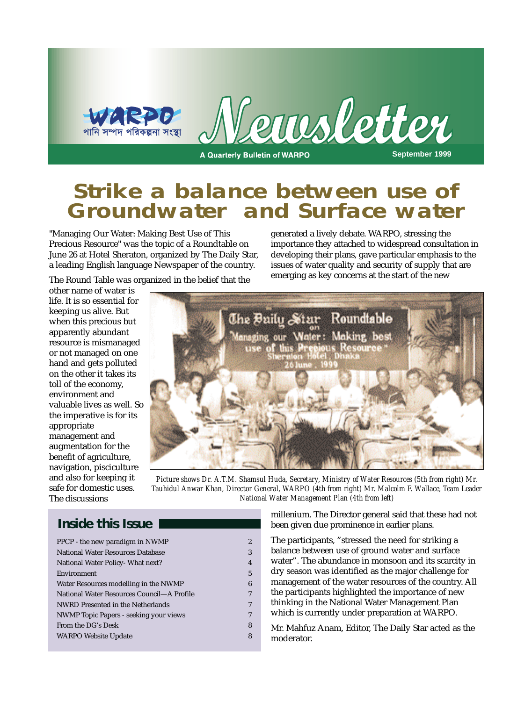

## **Strike a balance between use of Groundwater and Surface water**

"Managing Our Water: Making Best Use of This Precious Resource" was the topic of a Roundtable on June 26 at Hotel Sheraton, organized by The Daily Star, a leading English language Newspaper of the country.

generated a lively debate. WARPO, stressing the importance they attached to widespread consultation in developing their plans, gave particular emphasis to the issues of water quality and security of supply that are emerging as key concerns at the start of the new

The Round Table was organized in the belief that the

other name of water is life. It is so essential for keeping us alive. But when this precious but apparently abundant resource is mismanaged or not managed on one hand and gets polluted on the other it takes its toll of the economy, environment and valuable lives as well. So the imperative is for its appropriate management and augmentation for the benefit of agriculture, navigation, pisciculture and also for keeping it safe for domestic uses. The discussions



*Picture shows Dr. A.T.M. Shamsul Huda, Secretary, Ministry of Water Resources (5th from right) Mr. Tauhidul Anwar Khan, Director General, WARPO (4th from right) Mr. Malcolm F. Wallace, Team Leader National Water Management Plan (4th from left)*

## **Inside this Issue**

| PPCP - the new paradigm in NWMP               | 2 |
|-----------------------------------------------|---|
| National Water Resources Database             | 3 |
| National Water Policy- What next?             | 4 |
| Environment                                   | 5 |
| Water Resources modelling in the NWMP         | 6 |
| National Water Resources Council—A Profile    | 7 |
| NWRD Presented in the Netherlands             | 7 |
| <b>NWMP</b> Topic Papers - seeking your views | 7 |
| From the DG's Desk                            | 8 |
| <b>WARPO Website Update</b>                   | 8 |
|                                               |   |

millenium. The Director general said that these had not been given due prominence in earlier plans.

The participants, "stressed the need for striking a balance between use of ground water and surface water". The abundance in monsoon and its scarcity in dry season was identified as the major challenge for management of the water resources of the country. All the participants highlighted the importance of new thinking in the National Water Management Plan which is currently under preparation at WARPO.

Mr. Mahfuz Anam, Editor, The Daily Star acted as the moderator.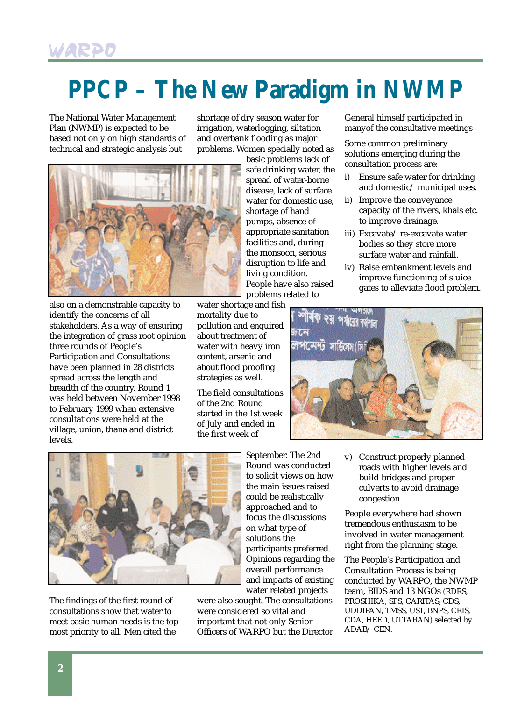# **PPCP – The New Paradigm in NWMP**

The National Water Management Plan (NWMP) is expected to be based not only on high standards of technical and strategic analysis but

shortage of dry season water for irrigation, waterlogging, siltation and overbank flooding as major problems. Women specially noted as



also on a demonstrable capacity to identify the concerns of all stakeholders. As a way of ensuring the integration of grass root opinion three rounds of People's Participation and Consultations have been planned in 28 districts spread across the length and breadth of the country. Round 1 was held between November 1998 to February 1999 when extensive consultations were held at the village, union, thana and district levels.

basic problems lack of safe drinking water, the spread of water-borne disease, lack of surface water for domestic use, shortage of hand pumps, absence of appropriate sanitation facilities and, during the monsoon, serious disruption to life and living condition. People have also raised problems related to

water shortage and fish mortality due to pollution and enquired about treatment of water with heavy iron content, arsenic and about flood proofing strategies as well.

The field consultations of the 2nd Round started in the 1st week of July and ended in the first week of

General himself participated in manyof the consultative meetings

Some common preliminary solutions emerging during the consultation process are:

- i) Ensure safe water for drinking and domestic/ municipal uses.
- ii) Improve the conveyance capacity of the rivers, khals etc. to improve drainage.
- iii) Excavate/ re-excavate water bodies so they store more surface water and rainfall.
- iv) Raise embankment levels and improve functioning of sluice gates to alleviate flood problem.





The findings of the first round of consultations show that water to meet basic human needs is the top most priority to all. Men cited the

September. The 2nd Round was conducted to solicit views on how the main issues raised could be realistically approached and to focus the discussions on what type of solutions the participants preferred. Opinions regarding the overall performance and impacts of existing water related projects

were also sought. The consultations were considered so vital and important that not only Senior Officers of WARPO but the Director v) Construct properly planned roads with higher levels and build bridges and proper culverts to avoid drainage congestion.

People everywhere had shown tremendous enthusiasm to be involved in water management right from the planning stage.

The People's Participation and Consultation Process is being conducted by WARPO, the NWMP team, BIDS and 13 NGOs (RDRS, PROSHIKA, SPS, CARITAS, CDS, UDDIPAN, TMSS, UST, BNPS, CRIS, CDA, HEED, UTTARAN) selected by ADAB/ CEN.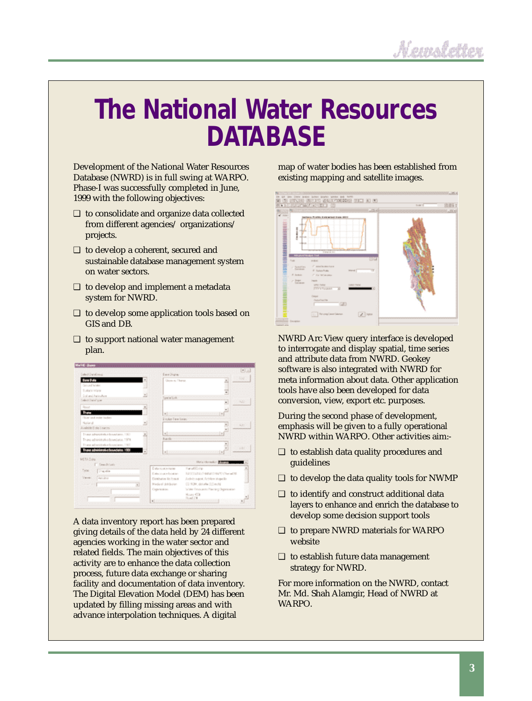# **The National Water Resources DATABASE**

Development of the National Water Resources Database (NWRD) is in full swing at WARPO. Phase-I was successfully completed in June, 1999 with the following objectives:

- ❑ to consolidate and organize data collected from different agencies/ organizations/ projects.
- ❑ to develop a coherent, secured and sustainable database management system on water sectors.
- ❑ to develop and implement a metadata system for NWRD.
- ❑ to develop some application tools based on GIS and DB.
- ❑ to support national water management plan.

| Salest Oanaliseup                      | East Oligia:                 |                                     | 图法       |
|----------------------------------------|------------------------------|-------------------------------------|----------|
| <b>Base Date</b>                       | <b>Global At There</b>       |                                     | Бú       |
| General Soldier                        |                              |                                     |          |
| <b>Euther Ware</b>                     |                              | Ξ                                   |          |
| Collaborato Auto                       | ×<br>pelatok                 |                                     |          |
| <b>Select Chang' pray</b>              |                              | $\cdot$                             | w        |
| Docum                                  |                              |                                     |          |
| <b>Burn</b>                            | $=1$                         | $\sim$                              |          |
| Thus and rede haden                    | <b>Distance Time Series</b>  |                                     |          |
| National                               |                              |                                     |          |
| <b>Bushirle Disks Lington</b>          |                              | ×                                   | $34.9 -$ |
| Truncategoristiche Englisse, 1903      | w1-<br>$\overline{a}$        | ×                                   |          |
| Trung administration boundaries, 1978. | Turchi-                      |                                     |          |
| Thank adjustifiation because as 1980.  |                              | ÷                                   |          |
| There administrative boundaries, 1988  | $\mathbb{R}$                 | ×<br>$-111$                         | 144      |
| MESS Date                              |                              |                                     |          |
| Swedelawa                              |                              | He's closely. The m                 |          |
| Twoo<br>25 street                      | Cuta rough name              | Fanalishing                         | ٠        |
|                                        | Collection in Installation   | RASTOLEA-Frequent reality character |          |
| Vene<br>Jury Port                      | <b>Circulates</b> little mod | Arthits agent. Arthiers stoppells   |          |
| ×.                                     | Wede of clotheries           | CO 90M, dolute (US evita)           |          |
|                                        | Caprintino                   | Water Resources Payming Depolations |          |
|                                        |                              | <b>Hours 453</b>                    |          |
|                                        | ×                            | Ruad 214                            |          |

A data inventory report has been prepared giving details of the data held by 24 different agencies working in the water sector and related fields. The main objectives of this activity are to enhance the data collection process, future data exchange or sharing facility and documentation of data inventory. The Digital Elevation Model (DEM) has been updated by filling missing areas and with advance interpolation techniques. A digital

map of water bodies has been established from existing mapping and satellite images.



NWRD Arc View query interface is developed to interrogate and display spatial, time series and attribute data from NWRD. Geokey software is also integrated with NWRD for meta information about data. Other application tools have also been developed for data conversion, view, export etc. purposes.

During the second phase of development, emphasis will be given to a fully operational NWRD within WARPO. Other activities aim:-

- ❑ to establish data quality procedures and guidelines
- $\Box$  to develop the data quality tools for NWMP
- ❑ to identify and construct additional data layers to enhance and enrich the database to develop some decision support tools
- ❑ to prepare NWRD materials for WARPO website
- ❑ to establish future data management strategy for NWRD.

For more information on the NWRD, contact Mr. Md. Shah Alamgir, Head of NWRD at WARPO.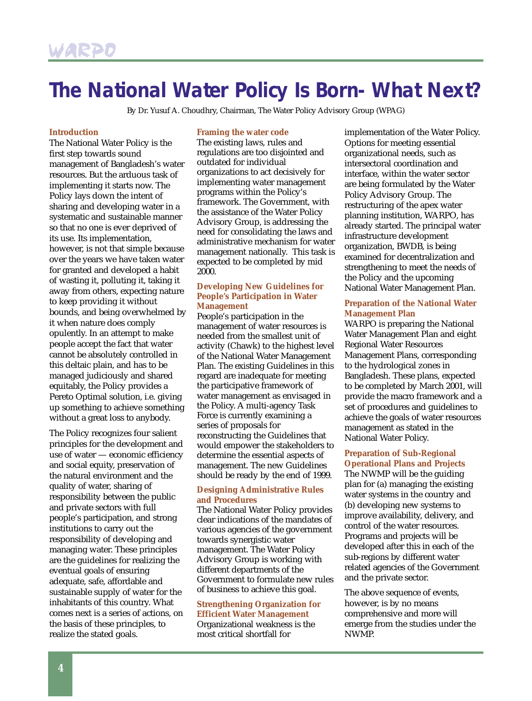## **The National Water Policy Is Born- What Next?**

By Dr. Yusuf A. Choudhry, Chairman, The Water Policy Advisory Group (WPAG)

#### **Introduction**

The National Water Policy is the first step towards sound management of Bangladesh's water resources. But the arduous task of implementing it starts now. The Policy lays down the intent of sharing and developing water in a systematic and sustainable manner so that no one is ever deprived of its use. Its implementation, however, is not that simple because over the years we have taken water for granted and developed a habit of wasting it, polluting it, taking it away from others, expecting nature to keep providing it without bounds, and being overwhelmed by it when nature does comply opulently. In an attempt to make people accept the fact that water cannot be absolutely controlled in this deltaic plain, and has to be managed judiciously and shared equitably, the Policy provides a Pereto Optimal solution, i.e. giving up something to achieve something without a great loss to anybody.

The Policy recognizes four salient principles for the development and use of water — economic efficiency and social equity, preservation of the natural environment and the quality of water, sharing of responsibility between the public and private sectors with full people's participation, and strong institutions to carry out the responsibility of developing and managing water. These principles are the guidelines for realizing the eventual goals of ensuring adequate, safe, affordable and sustainable supply of water for the inhabitants of this country. What comes next is a series of actions, on the basis of these principles, to realize the stated goals.

#### **Framing the water code**

The existing laws, rules and regulations are too disjointed and outdated for individual organizations to act decisively for implementing water management programs within the Policy's framework. The Government, with the assistance of the Water Policy Advisory Group, is addressing the need for consolidating the laws and administrative mechanism for water management nationally. This task is expected to be completed by mid 2000.

### **Developing New Guidelines for People's Participation in Water Management**

People's participation in the management of water resources is needed from the smallest unit of activity (Chawk) to the highest level of the National Water Management Plan. The existing Guidelines in this regard are inadequate for meeting the participative framework of water management as envisaged in the Policy. A multi-agency Task Force is currently examining a series of proposals for reconstructing the Guidelines that would empower the stakeholders to determine the essential aspects of management. The new Guidelines should be ready by the end of 1999.

### **Designing Administrative Rules and Procedures**

The National Water Policy provides clear indications of the mandates of various agencies of the government towards synergistic water management. The Water Policy Advisory Group is working with different departments of the Government to formulate new rules of business to achieve this goal.

### **Strengthening Organization for Efficient Water Management** Organizational weakness is the

most critical shortfall for

implementation of the Water Policy. Options for meeting essential organizational needs, such as intersectoral coordination and interface, within the water sector are being formulated by the Water Policy Advisory Group. The restructuring of the apex water planning institution, WARPO, has already started. The principal water infrastructure development organization, BWDB, is being examined for decentralization and strengthening to meet the needs of the Policy and the upcoming National Water Management Plan.

### **Preparation of the National Water Management Plan**

WARPO is preparing the National Water Management Plan and eight Regional Water Resources Management Plans, corresponding to the hydrological zones in Bangladesh. These plans, expected to be completed by March 2001, will provide the macro framework and a set of procedures and guidelines to achieve the goals of water resources management as stated in the National Water Policy.

## **Preparation of Sub-Regional**

**Operational Plans and Projects** The NWMP will be the guiding plan for (a) managing the existing water systems in the country and (b) developing new systems to improve availability, delivery, and control of the water resources. Programs and projects will be developed after this in each of the sub-regions by different water related agencies of the Government and the private sector.

The above sequence of events, however, is by no means comprehensive and more will emerge from the studies under the NWMP.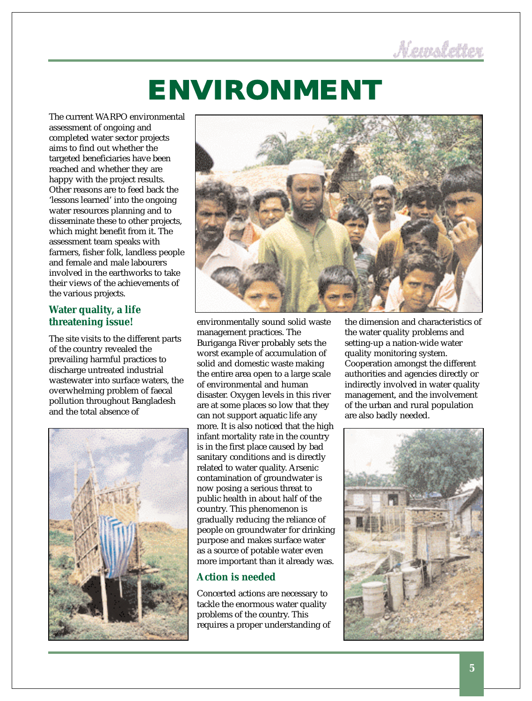# **ENVIRONMENT**

The current WARPO environmental assessment of ongoing and completed water sector projects aims to find out whether the targeted beneficiaries have been reached and whether they are happy with the project results. Other reasons are to feed back the 'lessons learned' into the ongoing water resources planning and to disseminate these to other projects, which might benefit from it. The assessment team speaks with farmers, fisher folk, landless people and female and male labourers involved in the earthworks to take their views of the achievements of the various projects.

## **Water quality, a life threatening issue!**

The site visits to the different parts of the country revealed the prevailing harmful practices to discharge untreated industrial wastewater into surface waters, the overwhelming problem of faecal pollution throughout Bangladesh and the total absence of





environmentally sound solid waste management practices. The Buriganga River probably sets the worst example of accumulation of solid and domestic waste making the entire area open to a large scale of environmental and human disaster. Oxygen levels in this river are at some places so low that they can not support aquatic life any more. It is also noticed that the high infant mortality rate in the country is in the first place caused by bad sanitary conditions and is directly related to water quality. Arsenic contamination of groundwater is now posing a serious threat to public health in about half of the country. This phenomenon is gradually reducing the reliance of people on groundwater for drinking purpose and makes surface water as a source of potable water even more important than it already was.

## **Action is needed**

Concerted actions are necessary to tackle the enormous water quality problems of the country. This requires a proper understanding of

the dimension and characteristics of the water quality problems and setting-up a nation-wide water quality monitoring system. Cooperation amongst the different authorities and agencies directly or indirectly involved in water quality management, and the involvement of the urban and rural population are also badly needed.

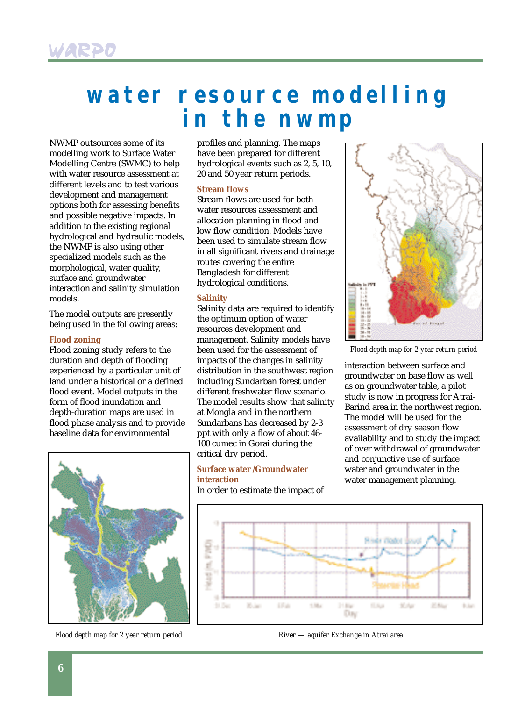## **water resource modelling in the nwmp**

NWMP outsources some of its modelling work to Surface Water Modelling Centre (SWMC) to help with water resource assessment at different levels and to test various development and management options both for assessing benefits and possible negative impacts. In addition to the existing regional hydrological and hydraulic models, the NWMP is also using other specialized models such as the morphological, water quality, surface and groundwater interaction and salinity simulation models.

The model outputs are presently being used in the following areas:

### **Flood zoning**

Flood zoning study refers to the duration and depth of flooding experienced by a particular unit of land under a historical or a defined flood event. Model outputs in the form of flood inundation and depth-duration maps are used in flood phase analysis and to provide baseline data for environmental



*Flood depth map for 2 year return period*

profiles and planning. The maps have been prepared for different hydrological events such as 2, 5, 10, 20 and 50 year return periods.

### **Stream flows**

Stream flows are used for both water resources assessment and allocation planning in flood and low flow condition. Models have been used to simulate stream flow in all significant rivers and drainage routes covering the entire Bangladesh for different hydrological conditions.

#### **Salinity**

Salinity data are required to identify the optimum option of water resources development and management. Salinity models have been used for the assessment of impacts of the changes in salinity distribution in the southwest region including Sundarban forest under different freshwater flow scenario. The model results show that salinity at Mongla and in the northern Sundarbans has decreased by 2-3 ppt with only a flow of about 46- 100 cumec in Gorai during the critical dry period.

#### **Surface water /Groundwater interaction**

In order to estimate the impact of



*Flood depth map for 2 year return period*

interaction between surface and groundwater on base flow as well as on groundwater table, a pilot study is now in progress for Atrai-Barind area in the northwest region. The model will be used for the assessment of dry season flow availability and to study the impact of over withdrawal of groundwater and conjunctive use of surface water and groundwater in the water management planning.



*River — aquifer Exchange in Atrai area*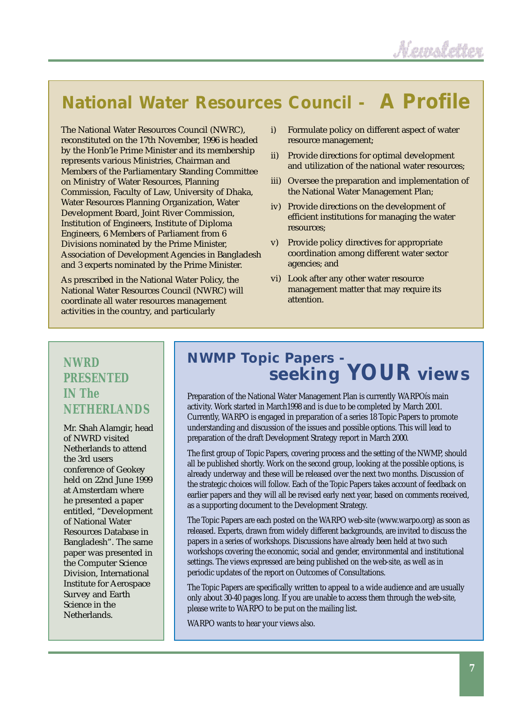## **National Water Resources Council - A Profile**

The National Water Resources Council (NWRC), reconstituted on the 17th November, 1996 is headed by the Honb'le Prime Minister and its membership represents various Ministries, Chairman and Members of the Parliamentary Standing Committee on Ministry of Water Resources, Planning Commission, Faculty of Law, University of Dhaka, Water Resources Planning Organization, Water Development Board, Joint River Commission, Institution of Engineers, Institute of Diploma Engineers, 6 Members of Parliament from 6 Divisions nominated by the Prime Minister, Association of Development Agencies in Bangladesh and 3 experts nominated by the Prime Minister.

As prescribed in the National Water Policy, the National Water Resources Council (NWRC) will coordinate all water resources management activities in the country, and particularly

- i) Formulate policy on different aspect of water resource management;
- ii) Provide directions for optimal development and utilization of the national water resources;
- iii) Oversee the preparation and implementation of the National Water Management Plan;
- iv) Provide directions on the development of efficient institutions for managing the water resources;
- v) Provide policy directives for appropriate coordination among different water sector agencies; and
- vi) Look after any other water resource management matter that may require its attention.

## **NWRD PRESENTED IN The NETHERLANDS**

Mr. Shah Alamgir, head of NWRD visited Netherlands to attend the 3rd users conference of Geokey held on 22nd June 1999 at Amsterdam where he presented a paper entitled, "Development of National Water Resources Database in Bangladesh". The same paper was presented in the Computer Science Division, International Institute for Aerospace Survey and Earth Science in the Netherlands.

## *NWMP Topic Papers seeking YOUR views*

Preparation of the National Water Management Plan is currently WARPOís main activity. Work started in March1998 and is due to be completed by March 2001. Currently, WARPO is engaged in preparation of a series 18 Topic Papers to promote understanding and discussion of the issues and possible options. This will lead to preparation of the draft Development Strategy report in March 2000.

The first group of Topic Papers, covering process and the setting of the NWMP, should all be published shortly. Work on the second group, looking at the possible options, is already underway and these will be released over the next two months. Discussion of the strategic choices will follow. Each of the Topic Papers takes account of feedback on earlier papers and they will all be revised early next year, based on comments received, as a supporting document to the Development Strategy.

The Topic Papers are each posted on the WARPO web-site (www.warpo.org) as soon as released. Experts, drawn from widely different backgrounds, are invited to discuss the papers in a series of workshops. Discussions have already been held at two such workshops covering the economic, social and gender, environmental and institutional settings. The views expressed are being published on the web-site, as well as in periodic updates of the report on Outcomes of Consultations.

The Topic Papers are specifically written to appeal to a wide audience and are usually only about 30-40 pages long. If you are unable to access them through the web-site, please write to WARPO to be put on the mailing list.

WARPO wants to hear your views also.